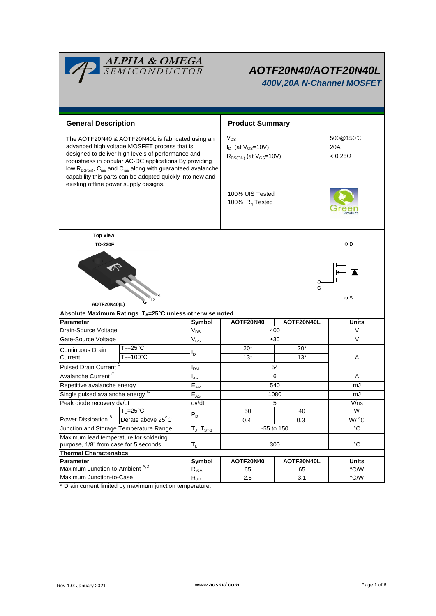|                                                                                                                                                                                                                                                                                                                                                                                                                             | <b>ALPHA &amp; OMEGA</b><br>SEMICONDUCTOR                          |                               | AOTF20N40/AOTF20N40L<br>400V,20A N-Channel MOSFET                       |            |                                   |  |  |
|-----------------------------------------------------------------------------------------------------------------------------------------------------------------------------------------------------------------------------------------------------------------------------------------------------------------------------------------------------------------------------------------------------------------------------|--------------------------------------------------------------------|-------------------------------|-------------------------------------------------------------------------|------------|-----------------------------------|--|--|
| <b>General Description</b>                                                                                                                                                                                                                                                                                                                                                                                                  |                                                                    |                               | <b>Product Summary</b>                                                  |            |                                   |  |  |
| The AOTF20N40 & AOTF20N40L is fabricated using an<br>advanced high voltage MOSFET process that is<br>designed to deliver high levels of performance and<br>robustness in popular AC-DC applications. By providing<br>low R <sub>DS(on)</sub> , C <sub>iss</sub> and C <sub>rss</sub> along with guaranteed avalanche<br>capability this parts can be adopted quickly into new and<br>existing offline power supply designs. |                                                                    |                               | $V_{DS}$<br>$I_D$ (at $V_{GS}$ =10V)<br>$R_{DS(ON)}$ (at $V_{GS}$ =10V) |            | 500@150℃<br>20A<br>$< 0.25\Omega$ |  |  |
|                                                                                                                                                                                                                                                                                                                                                                                                                             |                                                                    |                               | 100% UIS Tested<br>100% R <sub>g</sub> Tested                           |            |                                   |  |  |
| <b>Top View</b>                                                                                                                                                                                                                                                                                                                                                                                                             |                                                                    |                               |                                                                         |            |                                   |  |  |
| AOTF20N40(L)                                                                                                                                                                                                                                                                                                                                                                                                                |                                                                    |                               |                                                                         | G          |                                   |  |  |
| Parameter                                                                                                                                                                                                                                                                                                                                                                                                                   | Absolute Maximum Ratings $T_A = 25^\circ C$ unless otherwise noted |                               | AOTF20N40                                                               | AOTF20N40L | <b>Units</b>                      |  |  |
| Drain-Source Voltage                                                                                                                                                                                                                                                                                                                                                                                                        |                                                                    | Symbol<br>$V_{DS}$            | 400                                                                     |            | $\vee$                            |  |  |
| Gate-Source Voltage                                                                                                                                                                                                                                                                                                                                                                                                         |                                                                    | $V_{GS}$                      | ±30                                                                     |            | $\vee$                            |  |  |
|                                                                                                                                                                                                                                                                                                                                                                                                                             | $T_c = 25$ °C                                                      |                               | $20*$                                                                   | $20*$      |                                   |  |  |
| Continuous Drain<br>Current                                                                                                                                                                                                                                                                                                                                                                                                 | $T_c = 100$ °C                                                     | l <sub>D</sub>                | $13*$                                                                   | $13*$      | A                                 |  |  |
| Pulsed Drain Current <sup>C</sup>                                                                                                                                                                                                                                                                                                                                                                                           |                                                                    |                               |                                                                         | 54         |                                   |  |  |
| Avalanche Current <sup>C</sup>                                                                                                                                                                                                                                                                                                                                                                                              |                                                                    | <b>AR</b>                     | 6                                                                       |            | A                                 |  |  |
| Repetitive avalanche energy                                                                                                                                                                                                                                                                                                                                                                                                 |                                                                    | $\mathsf{E}_{\mathsf{AR}}$    | 540                                                                     |            | mJ                                |  |  |
| Single pulsed avalanche energy <sup>G</sup>                                                                                                                                                                                                                                                                                                                                                                                 |                                                                    | $E_{AS}$                      | 1080                                                                    |            | mJ                                |  |  |
| Peak diode recovery dv/dt                                                                                                                                                                                                                                                                                                                                                                                                   |                                                                    | dv/dt                         | $\mathbf 5$                                                             |            | V/ns                              |  |  |
| Power Dissipation <sup>B</sup>                                                                                                                                                                                                                                                                                                                                                                                              | $T_c = 25$ °C                                                      |                               | 50                                                                      | 40         | W                                 |  |  |
|                                                                                                                                                                                                                                                                                                                                                                                                                             | Derate above 25°C                                                  | $P_D$                         | 0.4                                                                     | 0.3        | W / C                             |  |  |
| Junction and Storage Temperature Range                                                                                                                                                                                                                                                                                                                                                                                      |                                                                    | T $_{\sf J}$ , T $_{\sf STG}$ | -55 to 150                                                              |            | °C                                |  |  |
| Maximum lead temperature for soldering                                                                                                                                                                                                                                                                                                                                                                                      |                                                                    |                               |                                                                         |            |                                   |  |  |
| purpose, 1/8" from case for 5 seconds                                                                                                                                                                                                                                                                                                                                                                                       |                                                                    | $T_L$                         |                                                                         | 300        | $^{\circ}C$                       |  |  |
| <b>Thermal Characteristics</b>                                                                                                                                                                                                                                                                                                                                                                                              |                                                                    |                               |                                                                         |            |                                   |  |  |
| Parameter                                                                                                                                                                                                                                                                                                                                                                                                                   |                                                                    | Symbol<br>$R_{\theta$ JA      | AOTF20N40                                                               | AOTF20N40L | Units                             |  |  |
|                                                                                                                                                                                                                                                                                                                                                                                                                             | Maximum Junction-to-Ambient A,D                                    |                               | 65                                                                      | 65         | °C/W                              |  |  |
| Maximum Junction-to-Case                                                                                                                                                                                                                                                                                                                                                                                                    |                                                                    | $R_{\theta$ JC                | 2.5                                                                     | 3.1        | °C/W                              |  |  |

\* Drain current limited by maximum junction temperature.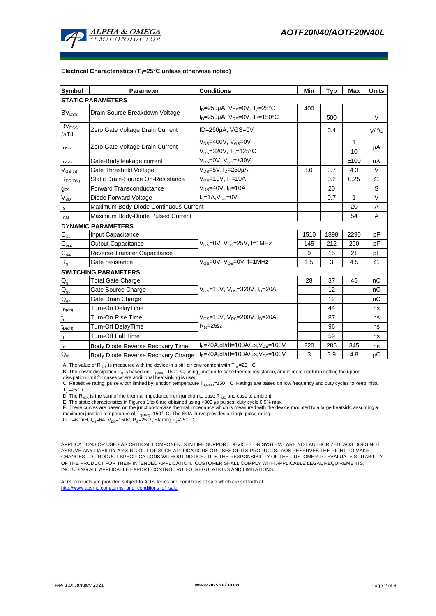

#### **Electrical Characteristics (TJ=25°C unless otherwise noted)**

| <b>Symbol</b>                                           | <b>Parameter</b>                         | <b>Conditions</b>                                                | Min  | <b>Typ</b> | <b>Max</b> | <b>Units</b>        |  |  |  |  |
|---------------------------------------------------------|------------------------------------------|------------------------------------------------------------------|------|------------|------------|---------------------|--|--|--|--|
| <b>STATIC PARAMETERS</b>                                |                                          |                                                                  |      |            |            |                     |  |  |  |  |
| <b>BV<sub>DSS</sub></b>                                 | Drain-Source Breakdown Voltage           | I <sub>D</sub> =250µA, V <sub>GS</sub> =0V, T <sub>J</sub> =25°C | 400  |            |            |                     |  |  |  |  |
|                                                         |                                          | $I_D = 250 \mu A$ , $V_{GS} = 0V$ , T <sub>J</sub> =150°C        |      | 500        |            | V                   |  |  |  |  |
| $\overline{\mathsf{BV}_{\mathtt{DSS}}}$<br>$\Delta T J$ | Zero Gate Voltage Drain Current          | ID=250µA, VGS=0V                                                 |      | 0.4        |            | $V/$ <sup>o</sup> C |  |  |  |  |
| I <sub>DSS</sub>                                        | Zero Gate Voltage Drain Current          | $V_{DS}$ =400V, $V_{GS}$ =0V                                     |      |            | 1          |                     |  |  |  |  |
|                                                         |                                          | $V_{DS} = 320V$ , T <sub>J</sub> =125°C                          |      |            | 10         | μA                  |  |  |  |  |
| $\mathsf{I}_{\mathsf{GSS}}$                             | Gate-Body leakage current                | $V_{DS} = 0V$ , $V_{GS} = \pm 30V$                               |      |            | ±100       | nA                  |  |  |  |  |
| $V_{GS(th)}$                                            | Gate Threshold Voltage                   | $V_{DS}$ =5V, I <sub>D</sub> =250µA                              | 3.0  | 3.7        | 4.3        | $\vee$              |  |  |  |  |
| $R_{DS(ON)}$                                            | <b>Static Drain-Source On-Resistance</b> | $V_{GS}$ =10V, $I_{D}$ =10A                                      |      | 0.2        | 0.25       | Ω                   |  |  |  |  |
| $g_{FS}$                                                | Forward Transconductance                 | $V_{DS} = 40V$ , $I_D = 10A$                                     |      | 20         |            | S                   |  |  |  |  |
| $V_{SD}$                                                | Diode Forward Voltage                    | $IS=1A, VGS=0V$                                                  |      | 0.7        | 1          | $\vee$              |  |  |  |  |
| ls                                                      | Maximum Body-Diode Continuous Current    |                                                                  |      |            | 20         | A                   |  |  |  |  |
| l <sub>sm</sub>                                         | Maximum Body-Diode Pulsed Current        |                                                                  |      | 54         | Α          |                     |  |  |  |  |
|                                                         | <b>DYNAMIC PARAMETERS</b>                |                                                                  |      |            |            |                     |  |  |  |  |
| $C_{\text{iss}}$                                        | Input Capacitance                        |                                                                  | 1510 | 1898       | 2290       | pF                  |  |  |  |  |
| $\mathsf{C}_{\mathrm{oss}}$                             | Output Capacitance                       | $V_{GS}$ =0V, $V_{DS}$ =25V, f=1MHz                              | 145  | 212        | 290        | pF                  |  |  |  |  |
| $C_{\rm rss}$                                           | Reverse Transfer Capacitance             |                                                                  | 9    | 15         | 21         | pF                  |  |  |  |  |
| $R_{g}$                                                 | Gate resistance                          | $V_{\text{GS}} = 0V$ , $V_{\text{DS}} = 0V$ , f=1MHz             | 1.5  | 3          | 4.5        | Ω                   |  |  |  |  |
| <b>SWITCHING PARAMETERS</b>                             |                                          |                                                                  |      |            |            |                     |  |  |  |  |
| $Q_g$                                                   | <b>Total Gate Charge</b>                 |                                                                  | 28   | 37         | 45         | nC                  |  |  |  |  |
| $Q_{gs}$                                                | Gate Source Charge                       | $V_{GS}$ =10V, $V_{DS}$ =320V, $I_{D}$ =20A                      |      | 12         |            | nC                  |  |  |  |  |
| $\mathsf{Q}_{\mathsf{gd}}$                              | Gate Drain Charge                        |                                                                  |      | 12         |            | nC                  |  |  |  |  |
| $t_{D(0n)}$                                             | Turn-On DelayTime                        |                                                                  |      | 44         |            | ns                  |  |  |  |  |
| t,                                                      | Turn-On Rise Time                        | $V_{GS}$ =10V, $V_{DS}$ =200V, $I_{D}$ =20A,                     |      | 87         |            | ns                  |  |  |  |  |
| $t_{D(off)}$                                            | Turn-Off DelayTime                       | $R_G = 25\Omega$                                                 |      | 96         |            | ns                  |  |  |  |  |
| t <sub>f</sub>                                          | <b>Turn-Off Fall Time</b>                |                                                                  |      | 59         |            | ns                  |  |  |  |  |
| $t_{rr}$                                                | Body Diode Reverse Recovery Time         | $I_F = 20A$ , dl/dt=100A/ $\mu$ s, V <sub>DS</sub> =100V         | 220  | 285        | 345        | ns                  |  |  |  |  |
| $Q_{rr}$                                                | Body Diode Reverse Recovery Charge       | $I_F = 20A$ , dl/dt=100A/ $\mu$ s, V <sub>DS</sub> =100V         | 3    | 3.9        | 4.8        | $\mu$ C             |  |  |  |  |

A. The value of R<sub>BJA</sub> is measured with the device in a still air environment with T  $_A=25^\circ$  C.

B. The power dissipation P<sub>D</sub> is based on T<sub>J(MAX)</sub>=150°C, using junction-to-case thermal resistance, and is more useful in setting the upper dissipation limit for cases where additional heatsinking is used.

C. Repetitive rating, pulse width limited by junction temperature T<sub>J(MAX)</sub>=150°C, Ratings are based on low frequency and duty cycles to keep initial  $T_1 = 25^\circ$  C.

D. The R<sub> $_{0JA}$ </sub> is the sum of the thermal impedance from junction to case R<sub> $_{0JC}$ </sub> and case to ambient.

E. The static characteristics in Figures 1 to 6 are obtained using <300 µs pulses, duty cycle 0.5% max.<br>F. These curves are based on the junction-to-case thermal impedance which is measured with the device mounted to a la maximum junction temperature of T<sub>J(MAX)</sub>=150°C. The SOA curve provides a single pulse rating.

G. L=60mH,  $I_{AS}$ =6A,  $V_{DD}$ =150V,  $R_G$ =25 $\Omega$ , Starting T<sub>J</sub>=25°C

APPLICATIONS OR USES AS CRITICAL COMPONENTS IN LIFE SUPPORT DEVICES OR SYSTEMS ARE NOT AUTHORIZED. AOS DOES NOT ASSUME ANY LIABILITY ARISING OUT OF SUCH APPLICATIONS OR USES OF ITS PRODUCTS. AOS RESERVES THE RIGHT TO MAKE CHANGES TO PRODUCT SPECIFICATIONS WITHOUT NOTICE. IT IS THE RESPONSIBILITY OF THE CUSTOMER TO EVALUATE SUITABILITY OF THE PRODUCT FOR THEIR INTENDED APPLICATION. CUSTOMER SHALL COMPLY WITH APPLICABLE LEGAL REQUIREMENTS, INCLUDING ALL APPLICABLE EXPORT CONTROL RULES, REGULATIONS AND LIMITATIONS.

AOS' products are provided subject to AOS' terms and conditions of sale which are set forth at: http://www.aosmd.com/terms\_and\_conditions\_of\_sale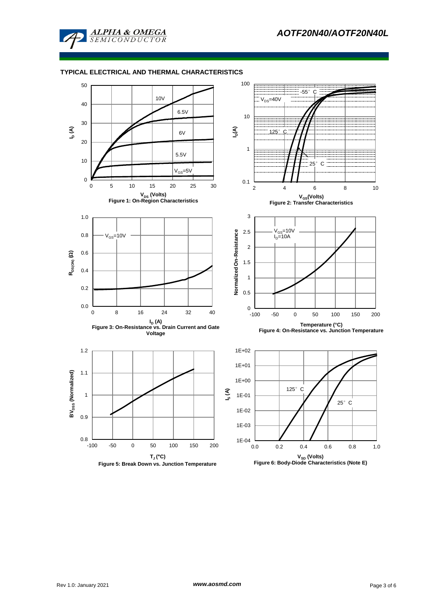

# **TYPICAL ELECTRICAL AND THERMAL CHARACTERISTICS**

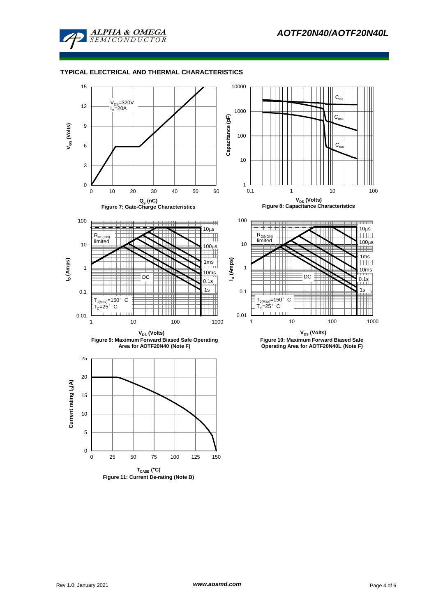

# **TYPICAL ELECTRICAL AND THERMAL CHARACTERISTICS**





**Figure 11: Current De-rating (Note B)**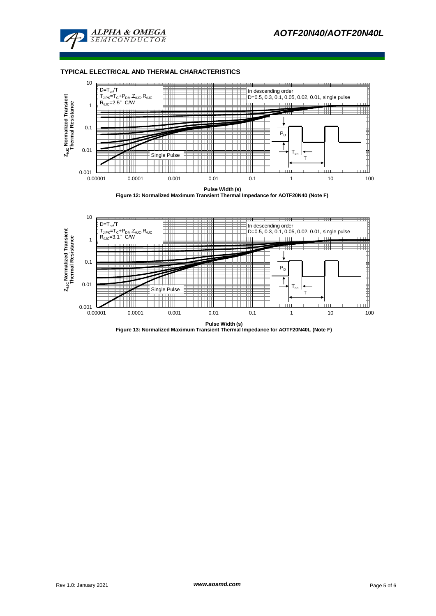

## **TYPICAL ELECTRICAL AND THERMAL CHARACTERISTICS**



**Pulse Width (s) Figure 12: Normalized Maximum Transient Thermal Impedance for AOTF20N40 (Note F)**



**Figure 13: Normalized Maximum Transient Thermal Impedance for AOTF20N40L (Note F)**